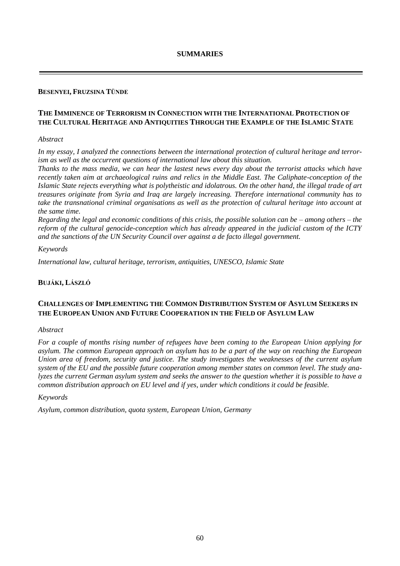# **BESENYEI, FRUZSINA TÜNDE**

# **THE IMMINENCE OF TERRORISM IN CONNECTION WITH THE INTERNATIONAL PROTECTION OF THE CULTURAL HERITAGE AND ANTIQUITIES THROUGH THE EXAMPLE OF THE ISLAMIC STATE**

### *Abstract*

*In my essay, I analyzed the connections between the international protection of cultural heritage and terrorism as well as the occurrent questions of international law about this situation.*

*Thanks to the mass media, we can hear the lastest news every day about the terrorist attacks which have recently taken aim at archaeological ruins and relics in the Middle East. The Caliphate-conception of the Islamic State rejects everything what is polytheistic and idolatrous. On the other hand, the illegal trade of art treasures originate from Syria and Iraq are largely increasing. Therefore international community has to take the transnational criminal organisations as well as the protection of cultural heritage into account at the same time.*

*Regarding the legal and economic conditions of this crisis, the possible solution can be – among others – the reform of the cultural genocide-conception which has already appeared in the judicial custom of the ICTY and the sanctions of the UN Security Council over against a de facto illegal government.*

### *Keywords*

*International law, cultural heritage, terrorism, antiquities, UNESCO, Islamic State*

## **BUJÁKI, LÁSZLÓ**

# **CHALLENGES OF IMPLEMENTING THE COMMON DISTRIBUTION SYSTEM OF ASYLUM SEEKERS IN THE EUROPEAN UNION AND FUTURE COOPERATION IN THE FIELD OF ASYLUM LAW**

### *Abstract*

*For a couple of months rising number of refugees have been coming to the European Union applying for asylum. The common European approach on asylum has to be a part of the way on reaching the European Union area of freedom, security and justice. The study investigates the weaknesses of the current asylum system of the EU and the possible future cooperation among member states on common level. The study analyzes the current German asylum system and seeks the answer to the question whether it is possible to have a common distribution approach on EU level and if yes, under which conditions it could be feasible.*

### *Keywords*

*Asylum, common distribution, quota system, European Union, Germany*